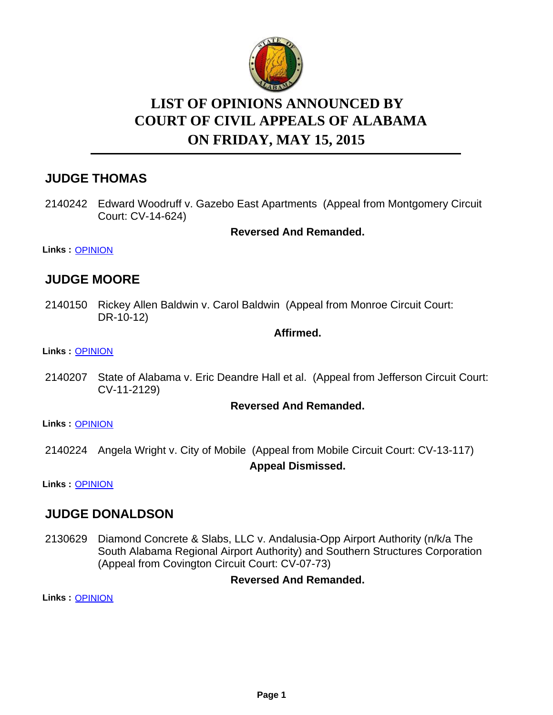

# **LIST OF OPINIONS ANNOUNCED BY ON FRIDAY, MAY 15, 2015 COURT OF CIVIL APPEALS OF ALABAMA**

# **JUDGE THOMAS**

2140242 Edward Woodruff v. Gazebo East Apartments (Appeal from Montgomery Circuit Court: CV-14-624)

**Reversed And Remanded.**

**Links :** [OPINION](https://acis.alabama.gov/displaydocs.cfm?no=657505&event=4CO0J44VD)

## **JUDGE MOORE**

2140150 Rickey Allen Baldwin v. Carol Baldwin (Appeal from Monroe Circuit Court: DR-10-12)

#### **Affirmed.**

#### **Links :** [OPINION](https://acis.alabama.gov/displaydocs.cfm?no=657502&event=4CO0J44FB)

2140207 State of Alabama v. Eric Deandre Hall et al. (Appeal from Jefferson Circuit Court: CV-11-2129)

#### **Reversed And Remanded.**

**Links :** [OPINION](https://acis.alabama.gov/displaydocs.cfm?no=657503&event=4CO0J44KZ)

2140224 Angela Wright v. City of Mobile (Appeal from Mobile Circuit Court: CV-13-117) **Appeal Dismissed.**

**Links :** [OPINION](https://acis.alabama.gov/displaydocs.cfm?no=657504&event=4CO0J44QM)

### **JUDGE DONALDSON**

2130629 Diamond Concrete & Slabs, LLC v. Andalusia-Opp Airport Authority (n/k/a The South Alabama Regional Airport Authority) and Southern Structures Corporation (Appeal from Covington Circuit Court: CV-07-73)

#### **Reversed And Remanded.**

**Links :** [OPINION](https://acis.alabama.gov/displaydocs.cfm?no=657499&event=4CO0J3US8)